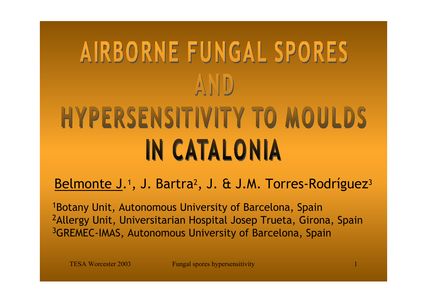# AIRBORNE FUNGAL SPORES AND **HYPERSENSITIVITY TO MOULDS IN CATALONIA**

Belmonte J.<sup>1</sup>, J. Bartra<sup>2</sup>, J. & J.M. Torres-Rodríguez<sup>3</sup>

1Botany Unit, Autonomous University of Barcelona, Spain <sup>2</sup> Allergy Unit, Universitarian Hospital Josep Trueta, Girona, Spain 3GREMEC-IMAS, Autonomous University of Barcelona, Spain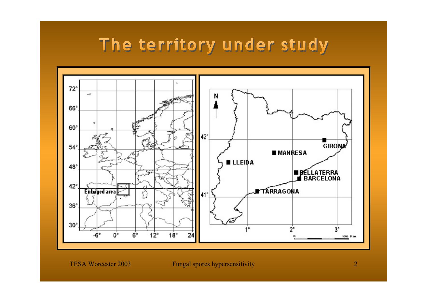## The territory under study

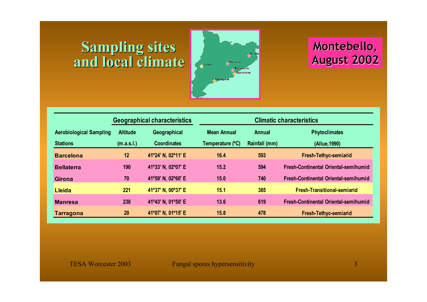### **Sampling sites and local climate and local climate**



### **Montebello Montebello , August 2002**

|                                |                 | <b>Geographical characteristics</b> | <b>Climatic characteristics</b> |               |                                             |  |  |  |  |
|--------------------------------|-----------------|-------------------------------------|---------------------------------|---------------|---------------------------------------------|--|--|--|--|
| <b>Aerobiological Sampling</b> | <b>Altitude</b> | Geographical                        | <b>Mean Annual</b>              | <b>Annual</b> | <b>Phytoclimates</b>                        |  |  |  |  |
| <b>Stations</b>                | (m.a.s.l.)      | <b>Coordinates</b>                  | Temperature (°C)                | Rainfall (mm) | (Allue, 1990)                               |  |  |  |  |
| <b>Barcelona</b>               | 12              | 41°24' N, 02°11' E                  | 16.4                            | 593           | <b>Fresh-Tethyc-semiarid</b>                |  |  |  |  |
| <b>Bellaterra</b>              | 190             | 41°33' N, 02°07' E                  | 15.2                            | 594           | <b>Fresh-Continental Oriental-semihumid</b> |  |  |  |  |
| <b>Girona</b>                  | 70              | 41°59' N, 02°60' E                  | 15.0                            | 740           | <b>Fresh-Continental Oriental-semihumid</b> |  |  |  |  |
| <b>Lleida</b>                  | 221             | 41°37' N, 00°37' E                  | 15.1                            | 385           | <b>Fresh-Transitional-semiarid</b>          |  |  |  |  |
| <b>Manresa</b>                 | 238             | 41°43' N, 01°50' E                  | 13.6                            | 619           | <b>Fresh-Continental Oriental-semihumid</b> |  |  |  |  |
| <b>Tarragona</b>               | 20              | 41°07' N, 01°15' E                  | 15.8                            | 478           | <b>Fresh-Tethyc-semiarid</b>                |  |  |  |  |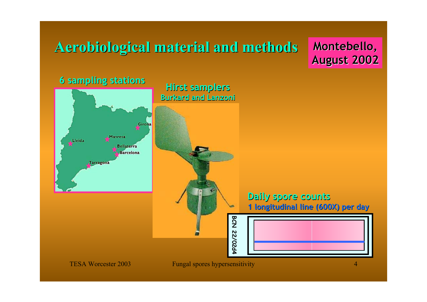## **Aerobiological Aerobiological material and methods material and methods**

**Montebello, Montebello, August 2002 August 2002**

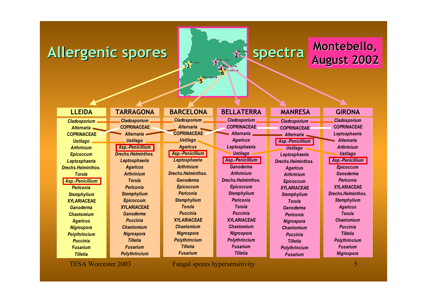### Allergenic spores **Allergenic spores**



### **Montebello Montebello, August 2002**

**LLEIDA**

*Cladosporium Alternaria***COPRINACEAE***Ustilago ArthriniumEpicoccum Leptosphaeria Drechs.Helminthos.TorulaAsp.-Penicillium PericoniaStemphylium* **XYLARIACEAE***GanodermaChaetomiumAgaricus Nigrospora Polythrincium PucciniaFusariumTilletia*

**TARRAGONA***Cladosporium* **COPRINACEAE***AlternariaUstilago Asp.-Penicillium Drechs.Helminthos.Leptosphaeria Agaricus ArthriniumTorulaPericoniaStemphylium Epicoccum* **XYLARIACEAE***GanodermaPucciniaChaetomiumNigrospora TilletiaFusariumPolythrincium*

*Cladosporium Alternaria***COPRINACEAE***Ustilago Agaricus Asp.-Penicillium Leptosphaeria ArthriniumDrechs.Helminthos.GanodermaEpicoccum PericoniaStemphylium TorulaPuccinia***XYLARIACEAE***ChaetomiumNigrospora Polythrincium TilletiaFusarium***BARCELONA**

*Cladosporium* **COPRINACEAE***AlternariaAgaricus Leptosphaeria Ustilago Asp.-Penicillium GanodermaArthriniumDrechs.Helminthos.Epicoccum Stemphylium PericoniaTorulaPuccinia***XYLARIACEAE***ChaetomiumNigrospora Polythrincium Fusarium***BELLATERRA GIRONA**

*Tilletia*

#### **MANRESA**

*Cladosporium* **COPRINACEAE***AlternariaAsp.-Penicillium Ustilago Leptosphaeria Drechs.Helminthos.Agaricus ArthriniumEpicoccum* **XYLARIACEAE***Stemphylium TorulaGanodermaPericoniaNigrospora ChaetomiumPucciniaTilletiaPolythrincium Fusarium*

*Cladosporium* **COPRINACEAE***Leptosphaeria AlternariaArthriniumUstilago Asp.-Penicillium Epicoccum GanodermaPericonia***XYLARIACEAE***Drechs.Helminthos.Stemphylium Agaricus TorulaChaetomiumPucciniaTilletiaPolythrincium FusariumNigrospora*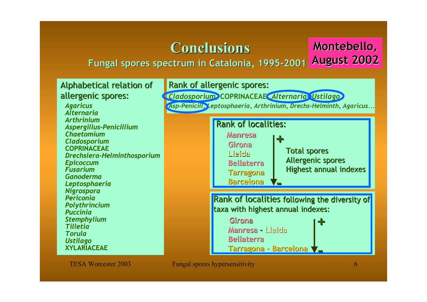### **Conclusions Conclusions**

#### **Fungal spores spectrum in Catalonia Fungal spores spectrum in Catalonia, 1995 -2001 August 2002**

#### Alphabetical relation of allergenic spores:

*Agaricus AlternariaArthrinium Aspergillus-Penicillium ChaetomiumCladosporium* **COPRINACEAE***Drechslera-Helminthosporium Epicoccum FusariumGanodermaLeptosphaeria Nigrospora PericoniaPolythrincium PucciniaStemphylium TilletiaTorulaUstilago* **XYLARIACEAE**

#### Rank of allergenic spores:

*Cladosporium***, COPRINACEAE,** *Alternaria***,** *Ustilago Asp-Penicill, Leptosphaeria, Arthrinium, Drechs-Helminth, Agaricus...*

#### **Rank of localities:**



Rank of localities following the diversity of taxa with highest annual indexes:

**+**

**GironaManresa Manresa- Lleida Bellaterra BellaterraTarragona Tarragona - Barcelona Barcelona**

**Montebello Montebello,**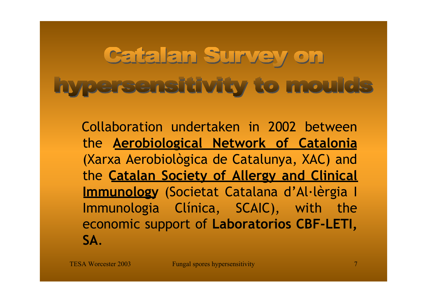## Catalan Survey on hypersensitivity to moulds

Collaboration undertaken in 2002 between the **Aerobiological Network of Catalonia** (Xarxa Aerobiològica de Catalunya, XAC) and the **Catalan Society of Allergy and Clinical Immunology** (Societat Catalana d'Al·lèrgia I Immunologia Clínica, SCAIC), with the economic support of **Laboratorios CBF-LETI, SA**.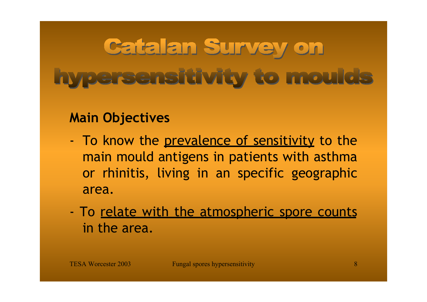# Catalan Survey on **Typersensitivity to moulds**

### **Main Objectives**

- -To know the <u>prevalence of sensitivity</u> to the main mould antigens in patients with asthma or rhinitis, living in an specific geographic area.
- -To relate with the atmospheric spore counts in the area.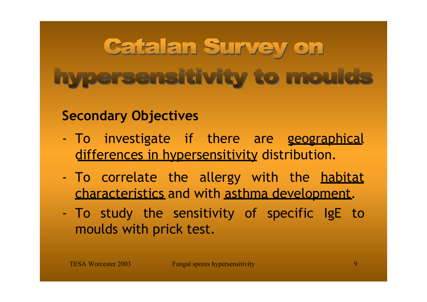# **Catalan Survey on Typersensitivity to moulds**

### **Secondary Objectives**

- -To investigate if there are geographical differences in hypersensitivity distribution.
- -To correlate the allergy with the <u>habitat</u> characteristics and with asthma development.
- - To study the sensitivity of specific IgE to moulds with prick test.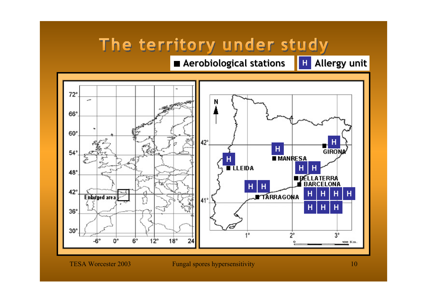## The territory under study

### **Aerobiological stations Aerobiological stations H Allergy unit Allergy unit**

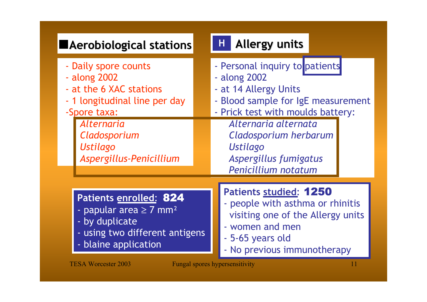| <b>Aerobiological stations</b>                                                                                                                                                                      | Н.<br><b>Allergy units</b>                                                                                                                                                                                                                                      |
|-----------------------------------------------------------------------------------------------------------------------------------------------------------------------------------------------------|-----------------------------------------------------------------------------------------------------------------------------------------------------------------------------------------------------------------------------------------------------------------|
| - Daily spore counts<br>- along 2002<br>- at the 6 XAC stations<br>- 1 longitudinal line per day<br>-Spore taxa:<br><i><b>Alternaria</b></i><br>Cladosporium<br>Ustilago<br>Aspergillus-Penicillium | - Personal inquiry to patients<br>- along 2002<br>- at 14 Allergy Units<br>- Blood sample for IgE measurement<br>- Prick test with moulds battery:<br>Alternaria alternata<br>Cladosporium herbarum<br>Ustilago<br>Aspergillus fumigatus<br>Penicillium notatum |
| Patients enrolled: 824<br>- papular area $\geq$ 7 mm <sup>2</sup><br>- by duplicate<br>- using two different antigens<br>- blaine application                                                       | Patients studied: 1250<br>- people with asthma or rhinitis<br>visiting one of the Allergy units<br>- women and men<br>- 5-65 years old<br>- No previous immunotherapy                                                                                           |
| <b>TESA Worcester 2003</b>                                                                                                                                                                          | <b>Fungal spores hypersensitivity</b><br>11                                                                                                                                                                                                                     |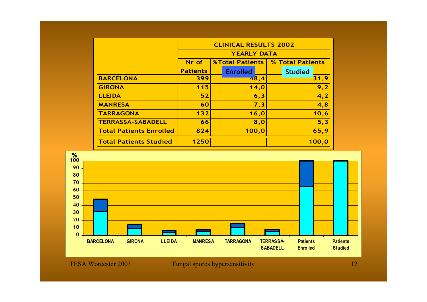|                                |                 | <b>CLINICAL RESULTS 2002</b> |                  |
|--------------------------------|-----------------|------------------------------|------------------|
|                                |                 | <b>YEARLY DATA</b>           |                  |
|                                | Nr of           | <b>%Total Patients</b>       | % Total Patients |
|                                | <b>Patients</b> | <b>Enrolled</b>              | <b>Studied</b>   |
| <b>BARCELONA</b>               | 399             | 48,4                         | 31,9             |
| <b>GIRONA</b>                  | 115             | 14,0                         | 9,2              |
| <b>LLEIDA</b>                  | 52              | 6,3                          | 4,2              |
| <b>MANRESA</b>                 | 60              | 7,3                          | 4,8              |
| <b>TARRAGONA</b>               | $132$           | 16,0                         | 10,6             |
| <b>TERRASSA-SABADELL</b>       | 66              | 8,0                          | 5,3              |
| <b>Total Patients Enrolled</b> | 824             | 100,0                        | 65,9             |
| <b>Total Patients Studied</b>  | 1250            |                              | 100,0            |

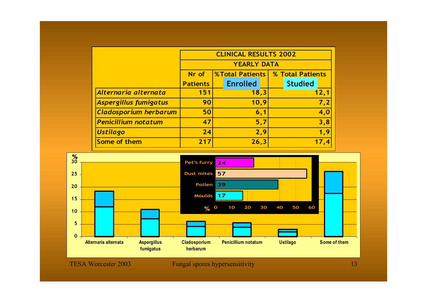|                              |                 | <b>CLINICAL RESULTS 2002</b>              |                |  |  |  |  |  |
|------------------------------|-----------------|-------------------------------------------|----------------|--|--|--|--|--|
|                              |                 | <b>YEARLY DATA</b>                        |                |  |  |  |  |  |
|                              | Nr of           | <b>%Total Patients   % Total Patients</b> |                |  |  |  |  |  |
|                              | <b>Patients</b> | <b>Enrolled</b>                           | <b>Studied</b> |  |  |  |  |  |
| Alternaria alternata         | 151             | 18,3                                      | 12,1           |  |  |  |  |  |
| Aspergillus fumigatus        | 90              | 10,9                                      | 7,2            |  |  |  |  |  |
| <b>Cladosporium herbarum</b> | 50              | 6,1                                       | 4,0            |  |  |  |  |  |
| <b>Penicillium notatum</b>   | 47              | 5,7                                       | 3,8            |  |  |  |  |  |
| <b>Ustilago</b>              | 24              | 2,9                                       | 1,9            |  |  |  |  |  |
| Some of them                 | 217             | 26,3                                      | 17,4           |  |  |  |  |  |

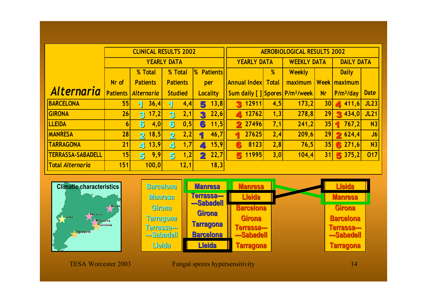|                          |                 | <b>CLINICAL RESULTS 2002</b> |                                |                                  | <b>AEROBIOLOGICAL RESULTS 2002</b>         |      |                    |           |                       |             |  |
|--------------------------|-----------------|------------------------------|--------------------------------|----------------------------------|--------------------------------------------|------|--------------------|-----------|-----------------------|-------------|--|
|                          |                 |                              | <b>YEARLY DATA</b>             |                                  | <b>YEARLY DATA</b>                         |      | <b>WEEKLY DATA</b> |           | <b>DAILY DATA</b>     |             |  |
|                          |                 | % Total                      | % Total                        | $\frac{1}{2}$<br><b>Patients</b> |                                            | %    | Weekly             |           | <b>Daily</b>          |             |  |
|                          | Nr of           | <b>Patients</b>              | <b>Patients</b>                | per                              | <b>Annual Index Total</b>                  |      | maximum            |           | Week   maximum        |             |  |
| <b>Alternaria</b>        | <b>Patients</b> | <b>Alternaria</b>            | <b>Studied</b>                 | <b>Locality</b>                  | Sum daily [] Spores P/m <sup>3</sup> /week |      |                    | <b>Nr</b> | P/m <sup>3</sup> /day | <b>Date</b> |  |
| <b>BARCELONA</b>         | 55              | 36,4<br>1                    | 4,4<br>11                      | 13,8<br>5                        | 12911<br>3.                                | 4,5  | 173,2              | 30        | 411,6                 | JL23        |  |
| GIRONA                   | 26              | 17,2<br>$\mathbf{3}$         | 2,1<br>3                       | 22,6<br>3                        | 4 12762                                    | 1, 3 | 278,8              | 29        | 3,434,0               | <b>JL21</b> |  |
| <b>LLEIDA</b>            | 6 <sup>1</sup>  | 6<br>4,0                     | 6<br> 0, 5                     | 6<br>11,5                        | <b>2</b> 27496                             | 7,1  | 241,2              | 35        | 767,2<br>п            | N3          |  |
| <b>MANRESA</b>           | 28              | 18,5 <br>$\mathbf{2}$        | 2,2<br>$\overline{\mathbf{2}}$ | 46,7<br>1                        | 27625<br>1                                 | 2,4  | 209,6              | 29        | 2624,4                | J6          |  |
| <b>TARRAGONA</b>         | 21              | 13,9 <br>$\blacktriangle$    | 1,7<br>$\blacktriangleleft$    | 15,9<br>$\overline{\phantom{a}}$ | 8123<br>6                                  | 2,8  | 76,5               | 35        | 6271,6                | N3          |  |
| <b>TERRASSA-SABADELL</b> | 15              | 9,9<br>5                     | 1,2<br>5                       | 22,7<br>2                        | 11995<br>5                                 | 3,0  | 104,4              | 31        | 5375,2                | 017         |  |
| <b>Total Alternaria</b>  | 151             | 100, 0                       | 12,1                           | 18,3                             |                                            |      |                    |           |                       |             |  |



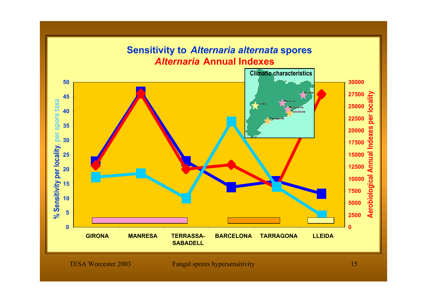#### **Sensitivity to** *Alternaria alternata* **spores** *Alternaria* **Annual Indexes Climatic characteristics5030000 27500**locality **Aerobiological Annual Indexes per locality 45 AMannesa** spore taxa **% Sensitivity per locality, per spore taxa** Lleida **25000** Bellaterra **40** Rarcelona per Tarragor **22500 35** ndexes **20000** % Sensitivity per locality, per **30 1750015000Annual 25 12500 20**Aerobiological **10000 15 750010 50005 2500 00GIRONA MANRESA TERRASSA- BARCELONA TARRAGONA LLEIDA SABADELL**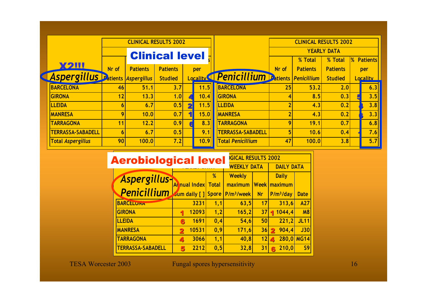|                                         |                 |                 | <b>CLINICAL RESULTS 2002</b> |                         |      |                                                        |                | <b>CLINICAL RESULTS 2002</b> |                    |                   |
|-----------------------------------------|-----------------|-----------------|------------------------------|-------------------------|------|--------------------------------------------------------|----------------|------------------------------|--------------------|-------------------|
|                                         |                 |                 | <b>Clinical level</b> :      |                         |      |                                                        |                |                              | <b>YEARLY DATA</b> |                   |
|                                         |                 |                 |                              |                         |      |                                                        |                | % Total                      | % Total            | <b>% Patients</b> |
| <b>X2III</b>                            | Nr of           | <b>Patients</b> | <b>Patients</b>              |                         | per  |                                                        | Nr of          | <b>Patients</b>              | <b>Patients</b>    | per               |
| Aspergillus <b>Patients</b> Aspergillus |                 |                 | <b>Studied</b>               |                         |      | Locality <sup>1</sup> Penicillium Datients Penicillium |                |                              | <b>Studied</b>     | <b>Locality</b>   |
| <b>BARCELONA</b>                        | 46              | 51.1            | 3.7                          |                         | 11.5 | <b>BARCELONA</b>                                       | 25             | 53.2                         | 2.0                | 6.3               |
| GIRONA                                  | 12              | 13.3            | 1.0                          |                         | 10.4 | <b>GIRONA</b>                                          | 4              | 8.5                          | 0.3                | 3.5               |
| <b>LLEIDA</b>                           | $6 \mid$        | 6.7             | 0.5                          | $\overline{\mathbf{2}}$ | 11.5 | LLEIDA                                                 | $\overline{2}$ | 4.3                          | 0.2                | 3.8               |
| <b>MANRESA</b>                          | $\overline{9}$  | 10.0            | 0.7                          | 1                       | 15.0 | <b>MANRESA</b>                                         | $\overline{2}$ | 4.3                          | 0.2                | 3.3               |
| <b>TARRAGONA</b>                        | 11              | 12.2            | 0.9                          |                         | 8.3  | <b>TARRAGONA</b>                                       | $\overline{9}$ | 19.1                         | 0.7                | 6.8               |
| <b>TERRASSA-SABADELL</b>                | $6 \mid$        | 6.7             | 0.5                          |                         | 9.1  | <b>TERRASSA-SABADELL</b>                               | 5 <sup>1</sup> | 10.6                         | 0.4                | 7.6               |
| <b>Total Aspergillus</b>                | 90 <sub>l</sub> | 100.0           | 7.2                          |                         | 10.9 | <b>Total Penicillium</b>                               | 47             | 100.0                        | 3.8                | 5.7               |

| <b>Aerobiological level</b>                                      |                     |                    | <b>GICAL RESULTS 2002</b> |                   |                                |             |  |  |  |
|------------------------------------------------------------------|---------------------|--------------------|---------------------------|-------------------|--------------------------------|-------------|--|--|--|
|                                                                  |                     | <b>WEEKLY DATA</b> |                           | <b>DAILY DATA</b> |                                |             |  |  |  |
| Aspergillus-                                                     |                     | %                  | Weekly                    |                   | <b>Daily</b>                   |             |  |  |  |
|                                                                  | Al nual Index Total |                    | maximum                   |                   | <b>Week maximum</b>            |             |  |  |  |
| $\textbf{Penicillium}$ sum daily [] Spore P/m <sup>3</sup> /week |                     |                    |                           | <b>Nr</b>         | P/m <sup>3</sup> /day          | <b>Date</b> |  |  |  |
| <b>BARCELUNA</b>                                                 | 3231                | 1,1                | 63,5                      | 17                | 313,6                          | A27         |  |  |  |
| <b>GIRONA</b>                                                    | 12093<br>4          | 1,2                | 165,2                     | 37                | 1044,4                         | <b>M8</b>   |  |  |  |
| <b>LLEIDA</b>                                                    | 1691<br>6           | 0,4                | 54,6                      | 50 <sup>1</sup>   | 221,2                          | <b>JL11</b> |  |  |  |
| <b>MANRESA</b>                                                   | 10531<br>2          | 0,9                | 171,6                     | 36                | $2\,904,4$                     | J30         |  |  |  |
| <b>TARRAGONA</b>                                                 | 3066<br>4           | 1,1                | 40,8                      | 12                | 280,0 MG14<br>$\blacktriangle$ |             |  |  |  |
| <b>TERRASSA-SABADELL</b>                                         | 2212<br>5           | 0, 5               | 32,8                      | 31                | 210,0<br>ß.                    | <b>S9</b>   |  |  |  |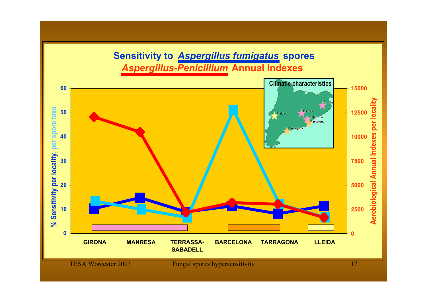### **Sensitivity to** *Aspergillus fumigatus* **spores** *Aspergillus-Penicillium* **Annual Indexes**

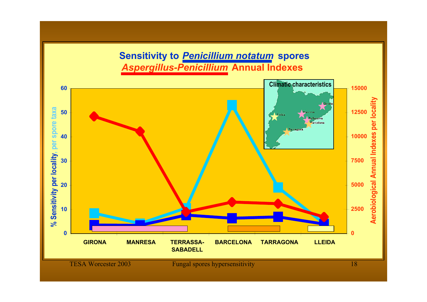### **Sensitivity to** *Penicillium notatum* **spores** *Aspergillus-Penicillium* **Annual Indexes**

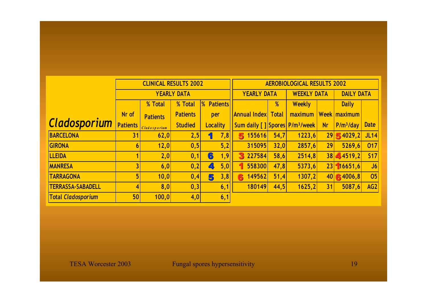|                           |                 | <b>CLINICAL RESULTS 2002</b> |                    |                   |     | <b>AEROBIOLOGICAL RESULTS 2002</b>         |                                          |         |           |                     |             |  |
|---------------------------|-----------------|------------------------------|--------------------|-------------------|-----|--------------------------------------------|------------------------------------------|---------|-----------|---------------------|-------------|--|
|                           |                 | <b>YEARLY DATA</b>           |                    |                   |     |                                            | <b>YEARLY DATA</b><br><b>WEEKLY DATA</b> |         |           | <b>DAILY DATA</b>   |             |  |
|                           |                 | % Total                      | % Total            | <b>% Patients</b> |     |                                            | %                                        | Weekly  |           | <b>Daily</b>        |             |  |
|                           | Nr of           | <b>Patients</b>              | <b>Patients</b>    | per               |     | Annual Index Total                         |                                          | maximum |           | <b>Week maximum</b> |             |  |
| <b>Cladosporium</b>       | <b>Patients</b> | Cladosporium                 | <b>Studied</b>     | <b>Locality</b>   |     | Sum daily [] Spores P/m <sup>3</sup> /week |                                          |         | <b>Nr</b> | $P/m^3/day$         | <b>Date</b> |  |
| BARCELONA                 | 31              | 62,0                         | 2,5                | ۹                 | 7,8 | 155616<br>5                                | 54,7                                     | 1223,6  |           | $29$ 5 4029,2       | JL14        |  |
| <b>GIRONA</b>             | 6 <sup>1</sup>  | 12,0                         | $\vert 0, 5 \vert$ |                   | 5,2 | 315095                                     | 32,0                                     | 2857,6  | 29        | 5269,6              | 017         |  |
| <b>LLEIDA</b>             |                 | 2,0                          | 0,1                | 6                 | 1,9 | 227584<br>З                                | 58,6                                     | 2514,8  |           | $38$ 4519,2         | S17         |  |
| <b>MANRESA</b>            |                 | 6,0                          | 0,2                | Ø.                | 5,0 | 558300<br>۹                                | 47,8                                     | 5373,6  |           | 23  16651, 6        | J6          |  |
| <b>TARRAGONA</b>          | 5 <sup>1</sup>  | 10,0                         | 0, 4               | 5                 | 3,8 | 149562<br>6                                | 51,4                                     | 1307,2  |           | $40$ 6 4006,8       | 05          |  |
| <b>TERRASSA-SABADELL</b>  | $\vert 4 \vert$ | 8,0                          | 0,3                |                   | 6,1 | 180149                                     | 44,5                                     | 1625,2  | 31        | 5087,6              | AG2         |  |
| <b>Total Cladosporium</b> | 50              | 100, 0                       | 4,0                |                   | 6,1 |                                            |                                          |         |           |                     |             |  |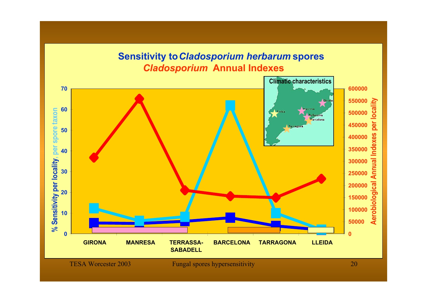### **Sensitivity to** *Cladosporium herbarum* **spores** *Cladosporium* **Annual Indexes**

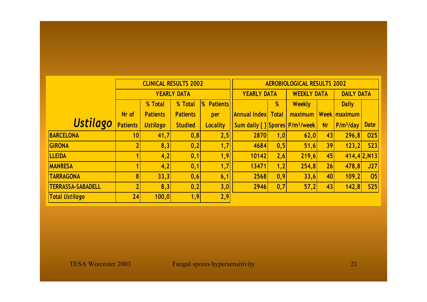|                          |                 | <b>CLINICAL RESULTS 2002</b> |                    |                   | <b>AEROBIOLOGICAL RESULTS 2002</b>         |                    |         |                   |                     |                 |  |
|--------------------------|-----------------|------------------------------|--------------------|-------------------|--------------------------------------------|--------------------|---------|-------------------|---------------------|-----------------|--|
|                          |                 |                              | <b>YEARLY DATA</b> |                   | <b>YEARLY DATA</b>                         | <b>WEEKLY DATA</b> |         | <b>DAILY DATA</b> |                     |                 |  |
|                          |                 | % Total                      | % Total            | <b>% Patients</b> |                                            | %                  | Weekly  |                   | <b>Daily</b>        |                 |  |
|                          | Nr of           | <b>Patients</b>              | <b>Patients</b>    | per               | Annual Indexl Total                        |                    | maximum |                   | <b>Week maximum</b> |                 |  |
| <b>Ustilago</b>          | <b>Patients</b> | <b>Ustilago</b>              | <b>Studied</b>     | <b>Locality</b>   | Sum daily [] Spores P/m <sup>3</sup> /week |                    |         | <b>Nr</b>         | $P/m^3/day$         | <b>Date</b>     |  |
| <b>BARCELONA</b>         | 10 <sup>1</sup> | 41,7                         | 0,8                | 2,5               | <b>2870</b>                                | 1,0                | 62,0    | 43 <sup>1</sup>   | 296,8               | 025             |  |
| <b>GIRONA</b>            |                 | 8,3                          | $\vert 0, 2 \vert$ | 1,7               | 4684                                       | 0, 5               | 51,6    | 39                | 123,2               | S <sub>23</sub> |  |
| <b>LLEIDA</b>            |                 | 4,2                          | 0,1                | 1,9               | 10142                                      | 2,6                | 219,6   | 45                |                     | 414,4 2,N13     |  |
| <b>MANRESA</b>           |                 | 4,2                          | 0,1                | 1,7               | 13471                                      | 1,2                | 254,8   | 26 <sub>l</sub>   | 478,8               | J27             |  |
| <b>TARRAGONA</b>         | 8 <sup>1</sup>  | 33,3                         | 0,6                | 6,1               | 2568                                       | 0, 9               | 33,6    | 40 <sub>l</sub>   | 109, 2              | 05              |  |
| <b>TERRASSA-SABADELL</b> |                 | 8,3                          | 0,2                | 3,0               | 2946                                       | 0, 7               | 57,2    | 43                | 142,8               | S <sub>25</sub> |  |
| <b>Total Ustilago</b>    | 24              | 100, 0                       | 1,9                | 2,9               |                                            |                    |         |                   |                     |                 |  |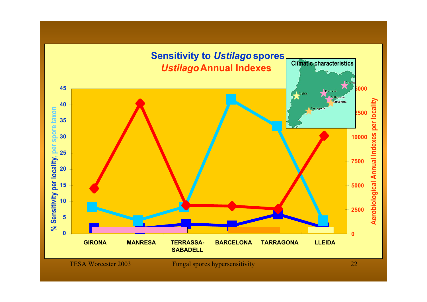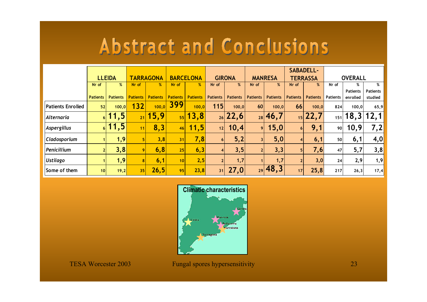|                          |                 |                    |                 |                  |                 |                  |                 |                 |                 |                 |                 | <b>SABADELL-</b> |                 |                 |                 |
|--------------------------|-----------------|--------------------|-----------------|------------------|-----------------|------------------|-----------------|-----------------|-----------------|-----------------|-----------------|------------------|-----------------|-----------------|-----------------|
|                          |                 | <b>LLEIDA</b>      |                 | <b>TARRAGONA</b> |                 | <b>BARCELONA</b> |                 | <b>GIRONA</b>   |                 | <b>MANRESA</b>  |                 | <b>TERRASSA</b>  |                 | <b>OVERALL</b>  |                 |
|                          | Nr of           | %                  | Nr of           | %                | Nr of           | %                | Nr of           | %               | Nr of           | %               | Nr of           | %                | Nr of           | %               | %               |
|                          |                 |                    |                 |                  |                 |                  |                 |                 |                 |                 |                 |                  |                 | <b>Patients</b> | <b>Patients</b> |
|                          | <b>Patients</b> | <b>Patients</b>    | <b>Patients</b> | <b>Patients</b>  | <b>Patients</b> | <b>Patients</b>  | <b>Patients</b> | <b>Patients</b> | <b>Patients</b> | <b>Patients</b> | <b>Patients</b> | <b>Patients</b>  | <b>Patients</b> | enrolled        | studied         |
| <b>Patients Enrolled</b> | 52              | 100, 0             | 132             | 100, 0           | 399             | 100,0            | 115             | 100, 0          | 60              | 100, 0          | 66              | 100,0            | 824             | 100,0           | 65,9            |
| Alternaria               |                 | $\frac{1}{6}$ 11,5 | 21              | 15,9             | 55              | 13,8             |                 | $_{26}$   22,6  |                 | $_{28}$ 46,7    |                 | $_{15}$ 22,7     |                 | $_{151}$   18,3 | 12,1            |
| Aspergillus              | 61              | 11,5               | 11              | 8,3              | 46              | 11,5             | 12              | 10,4            | 9               | 15,0            | 6 <sup>1</sup>  | 9,1              | 90              | 10,9            | 7,2             |
| Cladosporium             |                 | 1,9                |                 | 3,8              | 31              | 7,8              | 6 <sup>1</sup>  | 5,2             | $\overline{3}$  | 5,0             | 4 <sup>1</sup>  | 6,1              | <b>50</b>       | 6,1             | 4,0             |
| Penicillium              | 2 <sup>1</sup>  | 3,8                |                 | 6, 8             | 25              | 6,3              |                 | 3, 5            |                 | 3,3             | 5 <sup>1</sup>  | 7,6              | 47              | 5,7             | 3,8             |
| <b>Ustilago</b>          |                 | 1,9                |                 | 6,1              | 10 <sup>1</sup> | 2,5              |                 | 1,7             |                 | 1,7             | 2 <sub>1</sub>  | 3,0              | 24              | 2,9             | 1,9             |
| Some of them             | 10 <sup>1</sup> | 19,2               | 35              | 26,5             | 95              | 23,8             | 31              | 27,0            |                 | $_{29}$ 48,3    | 17              | 25,8             | 217             | 26,3            | 17,4            |

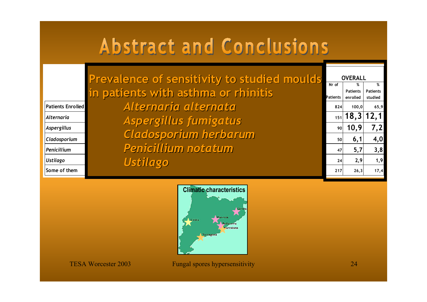|                   | Prevalence of sensitivity to studied moulds. |           | <b>OVERALL</b>        |                 |
|-------------------|----------------------------------------------|-----------|-----------------------|-----------------|
|                   |                                              | Nr of     | %                     | %               |
|                   | in patients with asthma or rhinitis'         |           | <b>Patients</b>       | <b>Patients</b> |
|                   |                                              | Patients  | enrolled              | studied         |
| Patients Enrolled | Alternaria alternata                         | 824       | 100,0                 | 65,9            |
| Alternaria        | Aspergillus fumigatus                        |           | $_{151}$   18,3  12,1 |                 |
| Aspergillus       |                                              |           | 90  10,9              | 7,2             |
| Cladosporium      | Cladosporium herbarum                        | <b>50</b> | 6,1                   | 4,0             |
| Penicillium       | Penicillium notatum                          | 47        | 5,7                   | 3,8             |
| <b>Ustilago</b>   | Ustilago                                     | 24        | 2,9                   | 1,9             |
| Some of them      |                                              | 217       | 26,3                  | 17,4            |

| <b>OVERALL</b> |                 |                 |  |  |  |  |  |  |  |  |
|----------------|-----------------|-----------------|--|--|--|--|--|--|--|--|
| Nr of          | %               | %               |  |  |  |  |  |  |  |  |
|                | <b>Patients</b> | <b>Patients</b> |  |  |  |  |  |  |  |  |
| Patients       | enrolled        | studied         |  |  |  |  |  |  |  |  |
| 824            | 100,0           | 65,9            |  |  |  |  |  |  |  |  |
| 151            | 18,3            | 12,1            |  |  |  |  |  |  |  |  |
| 90             | 10,9            | 7,2             |  |  |  |  |  |  |  |  |
| 50             | 6,1             | 4,0             |  |  |  |  |  |  |  |  |
| 47             | 5,7             | 3,8             |  |  |  |  |  |  |  |  |
| 24             | 2,9             | 1,9             |  |  |  |  |  |  |  |  |
| 217            | 26,3            | 17,4            |  |  |  |  |  |  |  |  |
|                |                 |                 |  |  |  |  |  |  |  |  |

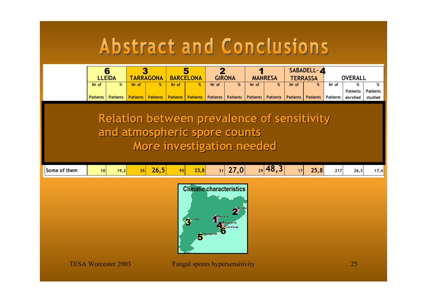|                                                                                                                | 6<br><b>LLEIDA</b> |                 | 3<br><b>TARRAGONA</b> |                 | 5<br><b>BARCELONA</b> |                 | $\mathbf{2}$<br><b>GIRONA</b> |                 | <b>MANRESA</b> |                 | SABADELL-4<br><b>TERRASSA</b> |                 | <b>OVERALL</b>  |                      |                      |
|----------------------------------------------------------------------------------------------------------------|--------------------|-----------------|-----------------------|-----------------|-----------------------|-----------------|-------------------------------|-----------------|----------------|-----------------|-------------------------------|-----------------|-----------------|----------------------|----------------------|
|                                                                                                                | Nr of              | %               | Nr of                 | %               | Nr of                 | %               | Nr of                         | %               | Nr of          | %               | Nr of                         | %               | Nr of           | %<br><b>Patients</b> | %<br><b>Patients</b> |
|                                                                                                                | <b>Patients</b>    | <b>Patients</b> | <b>Patients</b>       | <b>Patients</b> | <b>Patients</b>       | <b>Patients</b> | Patients                      | <b>Patients</b> | Patients       | <b>Patients</b> | Patients                      | <b>Patients</b> | <b>Patients</b> | enrolled             | studied              |
| <b>Relation between prevalence of sensitivity</b><br>and atmospheric spore counts<br>More investigation needed |                    |                 |                       |                 |                       |                 |                               |                 |                |                 |                               |                 |                 |                      |                      |
| Some of them                                                                                                   | 10                 | 19,2            | 35                    | 26,5            | 95                    | 23,8            | 31                            | 27,0            |                | $_{29}$ 48,3    | 17                            | 25,8            | 217             | 26,3                 | 17,4                 |
| <b>Climatic characteristics</b><br>and the contract of the contract of the contract of                         |                    |                 |                       |                 |                       |                 |                               |                 |                |                 |                               |                 |                 |                      |                      |

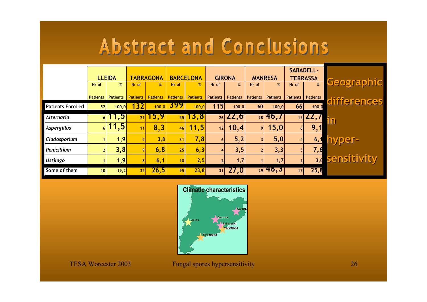|                          | <b>LLEIDA</b>   |                 | <b>TARRAGONA</b> |                 | <b>BARCELONA</b>      |                 | <b>GIRONA</b>   |                                              | <b>MANRESA</b>          |                      | <b>SABADELL-</b><br><b>TERRASSA</b> |                 |                   |
|--------------------------|-----------------|-----------------|------------------|-----------------|-----------------------|-----------------|-----------------|----------------------------------------------|-------------------------|----------------------|-------------------------------------|-----------------|-------------------|
|                          | Nr of           | %               | Nr of            | %               | Nr of                 | %               | Nr of           | %                                            | Nr of                   | %                    | Nr of                               | %               | <b>Geographic</b> |
|                          | <b>Patients</b> | <b>Patients</b> | <b>Patients</b>  | <b>Patients</b> | <b>Patients</b>       | <b>Patients</b> | <b>Patients</b> | Patients                                     | <b>Patients</b>         | <b>Patients</b>      | Patients                            | <b>Patients</b> | differences       |
| <b>Patients Enrolled</b> | 52              | 100, 0          | 132              |                 | $\frac{100,0}{ } 399$ | 100,0           | 115             | 100, 0                                       | 60 <sup>1</sup>         | 100,0                | 66                                  | 100,0           |                   |
| Alternaria               |                 | 611,5           | 21               | 15,9            | 55                    | 15,8            |                 | $\frac{26}{26}$ $\angle$ $\angle$ $\angle$ 6 |                         | $28$ 46, $\prime$    |                                     | 15 LL,I         | JN                |
| Aspergillus              | 6 <sup>1</sup>  | 11,5            | 11               | 8,3             | 46                    | 11,5            | 12              | 10,4                                         | 9 <sup>1</sup>          | 15,0                 | 6 <sup>1</sup>                      | 9,1             |                   |
| Cladosporium             |                 | 1,9             |                  | 3,8             | 31                    | 7,8             | <b>6</b>        | 5,2                                          | $\overline{\mathbf{3}}$ | 5,0                  |                                     | 6,1             | hyper-            |
| Penicillium              |                 | 3,8             |                  | 6,8             | 25                    | 6,3             |                 | 3, 5                                         |                         | 3,3                  | 5 <sup>1</sup>                      | 7,6             |                   |
| <b>Ustilago</b>          |                 | 1,9             |                  | 6,1             | 10                    | 2,5             |                 | 1,7                                          |                         | 1,7                  |                                     | 3,0             | sensitivity       |
| Some of them             | 10 <sup>1</sup> | 19,2            | 35               | 26,5            | 95                    | 23,8            | 31              | 27,0                                         |                         | $\frac{1}{29}$ 48, 5 | 17                                  | 25,8            |                   |